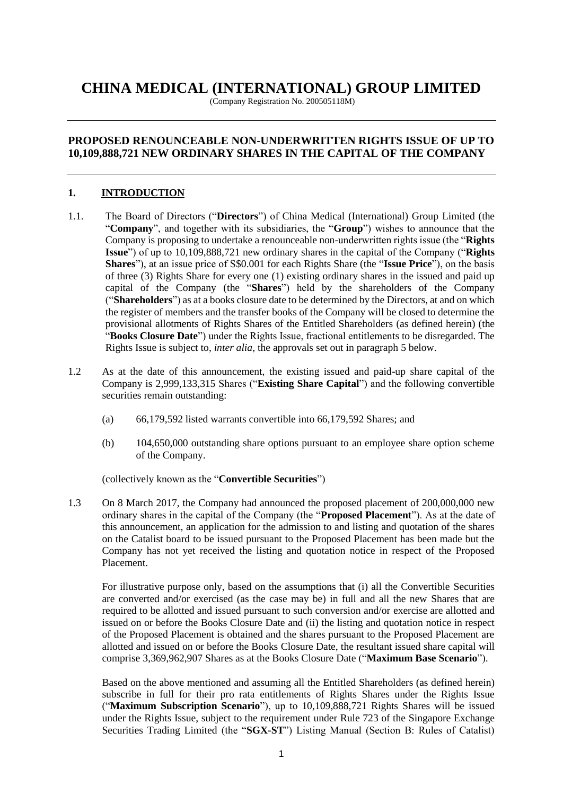# **CHINA MEDICAL (INTERNATIONAL) GROUP LIMITED**

(Company Registration No. 200505118M)

# **PROPOSED RENOUNCEABLE NON-UNDERWRITTEN RIGHTS ISSUE OF UP TO 10,109,888,721 NEW ORDINARY SHARES IN THE CAPITAL OF THE COMPANY**

#### **1. INTRODUCTION**

- 1.1. The Board of Directors ("**Directors**") of China Medical (International) Group Limited (the "**Company**", and together with its subsidiaries, the "**Group**") wishes to announce that the Company is proposing to undertake a renounceable non-underwritten rights issue (the "**Rights Issue**") of up to 10,109,888,721 new ordinary shares in the capital of the Company ("**Rights Shares**"), at an issue price of S\$0.001 for each Rights Share (the "**Issue Price**"), on the basis of three (3) Rights Share for every one (1) existing ordinary shares in the issued and paid up capital of the Company (the "**Shares**") held by the shareholders of the Company ("**Shareholders**") as at a books closure date to be determined by the Directors, at and on which the register of members and the transfer books of the Company will be closed to determine the provisional allotments of Rights Shares of the Entitled Shareholders (as defined herein) (the "**Books Closure Date**") under the Rights Issue, fractional entitlements to be disregarded. The Rights Issue is subject to, *inter alia*, the approvals set out in paragraph 5 below.
- 1.2 As at the date of this announcement, the existing issued and paid-up share capital of the Company is 2,999,133,315 Shares ("**Existing Share Capital**") and the following convertible securities remain outstanding:
	- (a) 66,179,592 listed warrants convertible into 66,179,592 Shares; and
	- (b) 104,650,000 outstanding share options pursuant to an employee share option scheme of the Company.

(collectively known as the "**Convertible Securities**")

1.3 On 8 March 2017, the Company had announced the proposed placement of 200,000,000 new ordinary shares in the capital of the Company (the "**Proposed Placement**"). As at the date of this announcement, an application for the admission to and listing and quotation of the shares on the Catalist board to be issued pursuant to the Proposed Placement has been made but the Company has not yet received the listing and quotation notice in respect of the Proposed Placement.

For illustrative purpose only, based on the assumptions that (i) all the Convertible Securities are converted and/or exercised (as the case may be) in full and all the new Shares that are required to be allotted and issued pursuant to such conversion and/or exercise are allotted and issued on or before the Books Closure Date and (ii) the listing and quotation notice in respect of the Proposed Placement is obtained and the shares pursuant to the Proposed Placement are allotted and issued on or before the Books Closure Date, the resultant issued share capital will comprise 3,369,962,907 Shares as at the Books Closure Date ("**Maximum Base Scenario**").

Based on the above mentioned and assuming all the Entitled Shareholders (as defined herein) subscribe in full for their pro rata entitlements of Rights Shares under the Rights Issue ("**Maximum Subscription Scenario**"), up to 10,109,888,721 Rights Shares will be issued under the Rights Issue, subject to the requirement under Rule 723 of the Singapore Exchange Securities Trading Limited (the "**SGX-ST**") Listing Manual (Section B: Rules of Catalist)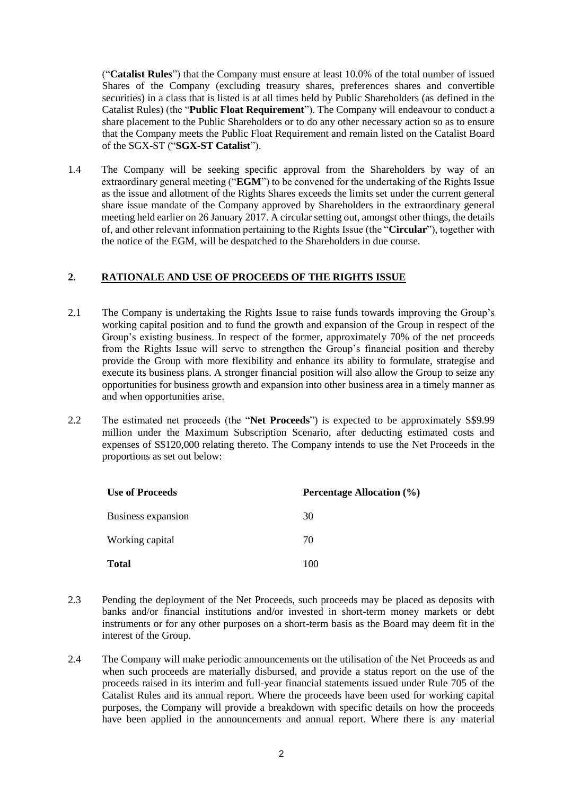("**Catalist Rules**") that the Company must ensure at least 10.0% of the total number of issued Shares of the Company (excluding treasury shares, preferences shares and convertible securities) in a class that is listed is at all times held by Public Shareholders (as defined in the Catalist Rules) (the "**Public Float Requirement**"). The Company will endeavour to conduct a share placement to the Public Shareholders or to do any other necessary action so as to ensure that the Company meets the Public Float Requirement and remain listed on the Catalist Board of the SGX-ST ("**SGX-ST Catalist**").

1.4 The Company will be seeking specific approval from the Shareholders by way of an extraordinary general meeting ("**EGM**") to be convened for the undertaking of the Rights Issue as the issue and allotment of the Rights Shares exceeds the limits set under the current general share issue mandate of the Company approved by Shareholders in the extraordinary general meeting held earlier on 26 January 2017. A circular setting out, amongst other things, the details of, and other relevant information pertaining to the Rights Issue (the "**Circular**"), together with the notice of the EGM, will be despatched to the Shareholders in due course.

### **2. RATIONALE AND USE OF PROCEEDS OF THE RIGHTS ISSUE**

- 2.1 The Company is undertaking the Rights Issue to raise funds towards improving the Group's working capital position and to fund the growth and expansion of the Group in respect of the Group's existing business. In respect of the former, approximately 70% of the net proceeds from the Rights Issue will serve to strengthen the Group's financial position and thereby provide the Group with more flexibility and enhance its ability to formulate, strategise and execute its business plans. A stronger financial position will also allow the Group to seize any opportunities for business growth and expansion into other business area in a timely manner as and when opportunities arise.
- 2.2 The estimated net proceeds (the "**Net Proceeds**") is expected to be approximately S\$9.99 million under the Maximum Subscription Scenario, after deducting estimated costs and expenses of S\$120,000 relating thereto. The Company intends to use the Net Proceeds in the proportions as set out below:

| <b>Use of Proceeds</b> | <b>Percentage Allocation (%)</b> |
|------------------------|----------------------------------|
| Business expansion     | 30                               |
| Working capital        | 70                               |
| <b>Total</b>           | 100                              |

- 2.3 Pending the deployment of the Net Proceeds, such proceeds may be placed as deposits with banks and/or financial institutions and/or invested in short-term money markets or debt instruments or for any other purposes on a short-term basis as the Board may deem fit in the interest of the Group.
- 2.4 The Company will make periodic announcements on the utilisation of the Net Proceeds as and when such proceeds are materially disbursed, and provide a status report on the use of the proceeds raised in its interim and full-year financial statements issued under Rule 705 of the Catalist Rules and its annual report. Where the proceeds have been used for working capital purposes, the Company will provide a breakdown with specific details on how the proceeds have been applied in the announcements and annual report. Where there is any material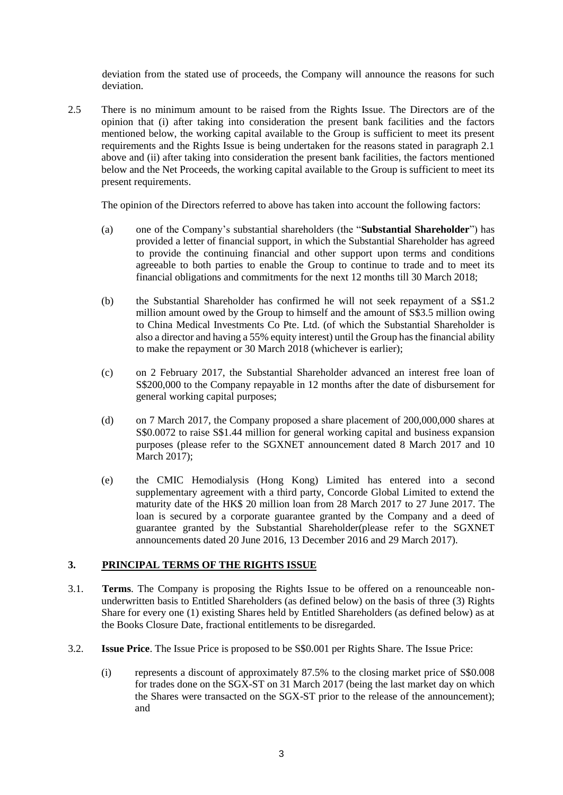deviation from the stated use of proceeds, the Company will announce the reasons for such deviation.

2.5 There is no minimum amount to be raised from the Rights Issue. The Directors are of the opinion that (i) after taking into consideration the present bank facilities and the factors mentioned below, the working capital available to the Group is sufficient to meet its present requirements and the Rights Issue is being undertaken for the reasons stated in paragraph 2.1 above and (ii) after taking into consideration the present bank facilities, the factors mentioned below and the Net Proceeds, the working capital available to the Group is sufficient to meet its present requirements.

The opinion of the Directors referred to above has taken into account the following factors:

- (a) one of the Company's substantial shareholders (the "**Substantial Shareholder**") has provided a letter of financial support, in which the Substantial Shareholder has agreed to provide the continuing financial and other support upon terms and conditions agreeable to both parties to enable the Group to continue to trade and to meet its financial obligations and commitments for the next 12 months till 30 March 2018;
- (b) the Substantial Shareholder has confirmed he will not seek repayment of a S\$1.2 million amount owed by the Group to himself and the amount of S\$3.5 million owing to China Medical Investments Co Pte. Ltd. (of which the Substantial Shareholder is also a director and having a 55% equity interest) until the Group has the financial ability to make the repayment or 30 March 2018 (whichever is earlier);
- (c) on 2 February 2017, the Substantial Shareholder advanced an interest free loan of S\$200,000 to the Company repayable in 12 months after the date of disbursement for general working capital purposes;
- (d) on 7 March 2017, the Company proposed a share placement of 200,000,000 shares at S\$0.0072 to raise S\$1.44 million for general working capital and business expansion purposes (please refer to the SGXNET announcement dated 8 March 2017 and 10 March 2017);
- (e) the CMIC Hemodialysis (Hong Kong) Limited has entered into a second supplementary agreement with a third party, Concorde Global Limited to extend the maturity date of the HK\$ 20 million loan from 28 March 2017 to 27 June 2017. The loan is secured by a corporate guarantee granted by the Company and a deed of guarantee granted by the Substantial Shareholder(please refer to the SGXNET announcements dated 20 June 2016, 13 December 2016 and 29 March 2017).

#### **3. PRINCIPAL TERMS OF THE RIGHTS ISSUE**

- 3.1. **Terms**. The Company is proposing the Rights Issue to be offered on a renounceable nonunderwritten basis to Entitled Shareholders (as defined below) on the basis of three (3) Rights Share for every one (1) existing Shares held by Entitled Shareholders (as defined below) as at the Books Closure Date, fractional entitlements to be disregarded.
- 3.2. **Issue Price**. The Issue Price is proposed to be S\$0.001 per Rights Share. The Issue Price:
	- (i) represents a discount of approximately 87.5% to the closing market price of S\$0.008 for trades done on the SGX-ST on 31 March 2017 (being the last market day on which the Shares were transacted on the SGX-ST prior to the release of the announcement); and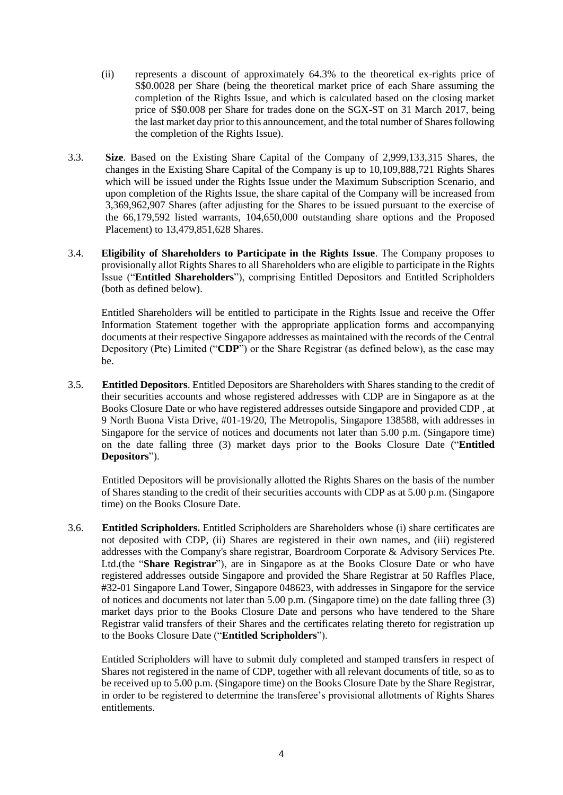- (ii) represents a discount of approximately 64.3% to the theoretical ex-rights price of S\$0.0028 per Share (being the theoretical market price of each Share assuming the completion of the Rights Issue, and which is calculated based on the closing market price of S\$0.008 per Share for trades done on the SGX-ST on 31 March 2017, being the last market day prior to this announcement, and the total number of Shares following the completion of the Rights Issue).
- 3.3. **Size**. Based on the Existing Share Capital of the Company of 2,999,133,315 Shares, the changes in the Existing Share Capital of the Company is up to 10,109,888,721 Rights Shares which will be issued under the Rights Issue under the Maximum Subscription Scenario, and upon completion of the Rights Issue, the share capital of the Company will be increased from 3,369,962,907 Shares (after adjusting for the Shares to be issued pursuant to the exercise of the 66,179,592 listed warrants, 104,650,000 outstanding share options and the Proposed Placement) to 13,479,851,628 Shares.
- 3.4. **Eligibility of Shareholders to Participate in the Rights Issue**. The Company proposes to provisionally allot Rights Shares to all Shareholders who are eligible to participate in the Rights Issue ("**Entitled Shareholders**"), comprising Entitled Depositors and Entitled Scripholders (both as defined below).

Entitled Shareholders will be entitled to participate in the Rights Issue and receive the Offer Information Statement together with the appropriate application forms and accompanying documents at their respective Singapore addresses as maintained with the records of the Central Depository (Pte) Limited ("**CDP**") or the Share Registrar (as defined below), as the case may be.

3.5. **Entitled Depositors**. Entitled Depositors are Shareholders with Shares standing to the credit of their securities accounts and whose registered addresses with CDP are in Singapore as at the Books Closure Date or who have registered addresses outside Singapore and provided CDP , at 9 North Buona Vista Drive, #01-19/20, The Metropolis, Singapore 138588, with addresses in Singapore for the service of notices and documents not later than 5.00 p.m. (Singapore time) on the date falling three (3) market days prior to the Books Closure Date ("**Entitled Depositors**").

Entitled Depositors will be provisionally allotted the Rights Shares on the basis of the number of Shares standing to the credit of their securities accounts with CDP as at 5.00 p.m. (Singapore time) on the Books Closure Date.

3.6. **Entitled Scripholders.** Entitled Scripholders are Shareholders whose (i) share certificates are not deposited with CDP, (ii) Shares are registered in their own names, and (iii) registered addresses with the Company's share registrar, Boardroom Corporate & Advisory Services Pte. Ltd.(the "**Share Registrar**"), are in Singapore as at the Books Closure Date or who have registered addresses outside Singapore and provided the Share Registrar at 50 Raffles Place, #32-01 Singapore Land Tower, Singapore 048623, with addresses in Singapore for the service of notices and documents not later than 5.00 p.m. (Singapore time) on the date falling three (3) market days prior to the Books Closure Date and persons who have tendered to the Share Registrar valid transfers of their Shares and the certificates relating thereto for registration up to the Books Closure Date ("**Entitled Scripholders**").

Entitled Scripholders will have to submit duly completed and stamped transfers in respect of Shares not registered in the name of CDP, together with all relevant documents of title, so as to be received up to 5.00 p.m. (Singapore time) on the Books Closure Date by the Share Registrar, in order to be registered to determine the transferee's provisional allotments of Rights Shares entitlements.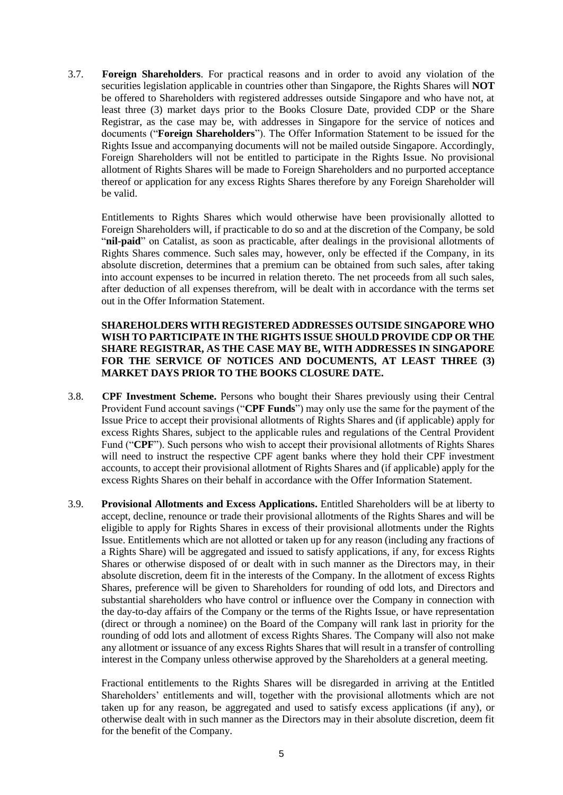3.7. **Foreign Shareholders**. For practical reasons and in order to avoid any violation of the securities legislation applicable in countries other than Singapore, the Rights Shares will **NOT** be offered to Shareholders with registered addresses outside Singapore and who have not, at least three (3) market days prior to the Books Closure Date, provided CDP or the Share Registrar, as the case may be, with addresses in Singapore for the service of notices and documents ("**Foreign Shareholders**"). The Offer Information Statement to be issued for the Rights Issue and accompanying documents will not be mailed outside Singapore. Accordingly, Foreign Shareholders will not be entitled to participate in the Rights Issue. No provisional allotment of Rights Shares will be made to Foreign Shareholders and no purported acceptance thereof or application for any excess Rights Shares therefore by any Foreign Shareholder will be valid.

Entitlements to Rights Shares which would otherwise have been provisionally allotted to Foreign Shareholders will, if practicable to do so and at the discretion of the Company, be sold "**nil-paid**" on Catalist, as soon as practicable, after dealings in the provisional allotments of Rights Shares commence. Such sales may, however, only be effected if the Company, in its absolute discretion, determines that a premium can be obtained from such sales, after taking into account expenses to be incurred in relation thereto. The net proceeds from all such sales, after deduction of all expenses therefrom, will be dealt with in accordance with the terms set out in the Offer Information Statement.

#### **SHAREHOLDERS WITH REGISTERED ADDRESSES OUTSIDE SINGAPORE WHO WISH TO PARTICIPATE IN THE RIGHTS ISSUE SHOULD PROVIDE CDP OR THE SHARE REGISTRAR, AS THE CASE MAY BE, WITH ADDRESSES IN SINGAPORE FOR THE SERVICE OF NOTICES AND DOCUMENTS, AT LEAST THREE (3) MARKET DAYS PRIOR TO THE BOOKS CLOSURE DATE.**

- 3.8. **CPF Investment Scheme.** Persons who bought their Shares previously using their Central Provident Fund account savings ("**CPF Funds**") may only use the same for the payment of the Issue Price to accept their provisional allotments of Rights Shares and (if applicable) apply for excess Rights Shares, subject to the applicable rules and regulations of the Central Provident Fund ("**CPF**"). Such persons who wish to accept their provisional allotments of Rights Shares will need to instruct the respective CPF agent banks where they hold their CPF investment accounts, to accept their provisional allotment of Rights Shares and (if applicable) apply for the excess Rights Shares on their behalf in accordance with the Offer Information Statement.
- 3.9. **Provisional Allotments and Excess Applications.** Entitled Shareholders will be at liberty to accept, decline, renounce or trade their provisional allotments of the Rights Shares and will be eligible to apply for Rights Shares in excess of their provisional allotments under the Rights Issue. Entitlements which are not allotted or taken up for any reason (including any fractions of a Rights Share) will be aggregated and issued to satisfy applications, if any, for excess Rights Shares or otherwise disposed of or dealt with in such manner as the Directors may, in their absolute discretion, deem fit in the interests of the Company. In the allotment of excess Rights Shares, preference will be given to Shareholders for rounding of odd lots, and Directors and substantial shareholders who have control or influence over the Company in connection with the day-to-day affairs of the Company or the terms of the Rights Issue, or have representation (direct or through a nominee) on the Board of the Company will rank last in priority for the rounding of odd lots and allotment of excess Rights Shares. The Company will also not make any allotment or issuance of any excess Rights Shares that will result in a transfer of controlling interest in the Company unless otherwise approved by the Shareholders at a general meeting.

Fractional entitlements to the Rights Shares will be disregarded in arriving at the Entitled Shareholders' entitlements and will, together with the provisional allotments which are not taken up for any reason, be aggregated and used to satisfy excess applications (if any), or otherwise dealt with in such manner as the Directors may in their absolute discretion, deem fit for the benefit of the Company.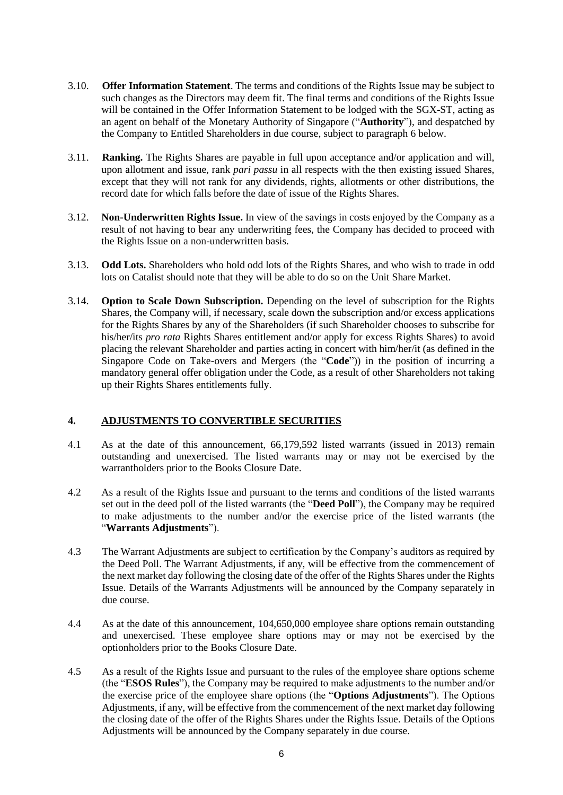- 3.10. **Offer Information Statement**. The terms and conditions of the Rights Issue may be subject to such changes as the Directors may deem fit. The final terms and conditions of the Rights Issue will be contained in the Offer Information Statement to be lodged with the SGX-ST, acting as an agent on behalf of the Monetary Authority of Singapore ("**Authority**"), and despatched by the Company to Entitled Shareholders in due course, subject to paragraph 6 below.
- 3.11. **Ranking.** The Rights Shares are payable in full upon acceptance and/or application and will, upon allotment and issue, rank *pari passu* in all respects with the then existing issued Shares, except that they will not rank for any dividends, rights, allotments or other distributions, the record date for which falls before the date of issue of the Rights Shares.
- 3.12. **Non-Underwritten Rights Issue.** In view of the savings in costs enjoyed by the Company as a result of not having to bear any underwriting fees, the Company has decided to proceed with the Rights Issue on a non-underwritten basis.
- 3.13. **Odd Lots.** Shareholders who hold odd lots of the Rights Shares, and who wish to trade in odd lots on Catalist should note that they will be able to do so on the Unit Share Market.
- 3.14. **Option to Scale Down Subscription.** Depending on the level of subscription for the Rights Shares, the Company will, if necessary, scale down the subscription and/or excess applications for the Rights Shares by any of the Shareholders (if such Shareholder chooses to subscribe for his/her/its *pro rata* Rights Shares entitlement and/or apply for excess Rights Shares) to avoid placing the relevant Shareholder and parties acting in concert with him/her/it (as defined in the Singapore Code on Take-overs and Mergers (the "**Code**")) in the position of incurring a mandatory general offer obligation under the Code, as a result of other Shareholders not taking up their Rights Shares entitlements fully.

#### **4. ADJUSTMENTS TO CONVERTIBLE SECURITIES**

- 4.1 As at the date of this announcement, 66,179,592 listed warrants (issued in 2013) remain outstanding and unexercised. The listed warrants may or may not be exercised by the warrantholders prior to the Books Closure Date.
- 4.2 As a result of the Rights Issue and pursuant to the terms and conditions of the listed warrants set out in the deed poll of the listed warrants (the "**Deed Poll**"), the Company may be required to make adjustments to the number and/or the exercise price of the listed warrants (the "**Warrants Adjustments**").
- 4.3 The Warrant Adjustments are subject to certification by the Company's auditors as required by the Deed Poll. The Warrant Adjustments, if any, will be effective from the commencement of the next market day following the closing date of the offer of the Rights Shares under the Rights Issue. Details of the Warrants Adjustments will be announced by the Company separately in due course.
- 4.4 As at the date of this announcement, 104,650,000 employee share options remain outstanding and unexercised. These employee share options may or may not be exercised by the optionholders prior to the Books Closure Date.
- 4.5 As a result of the Rights Issue and pursuant to the rules of the employee share options scheme (the "**ESOS Rules**"), the Company may be required to make adjustments to the number and/or the exercise price of the employee share options (the "**Options Adjustments**"). The Options Adjustments, if any, will be effective from the commencement of the next market day following the closing date of the offer of the Rights Shares under the Rights Issue. Details of the Options Adjustments will be announced by the Company separately in due course.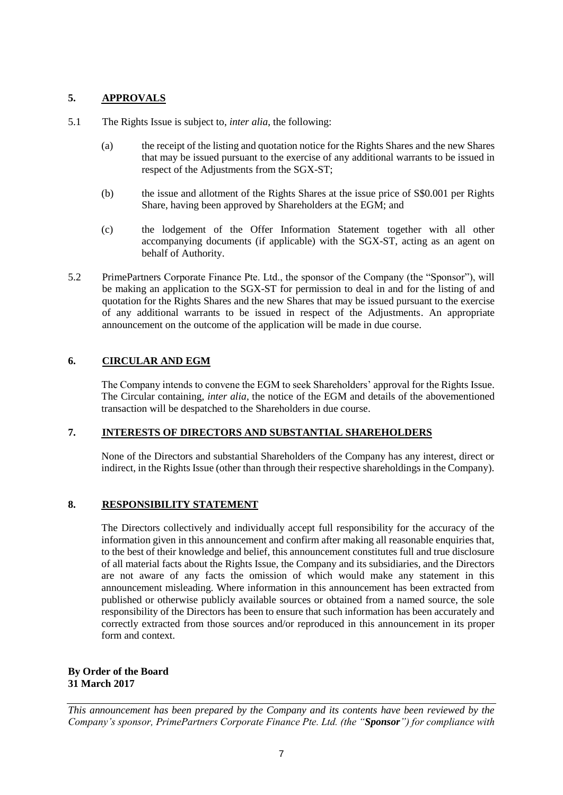### **5. APPROVALS**

- 5.1 The Rights Issue is subject to, *inter alia*, the following:
	- (a) the receipt of the listing and quotation notice for the Rights Shares and the new Shares that may be issued pursuant to the exercise of any additional warrants to be issued in respect of the Adjustments from the SGX-ST;
	- (b) the issue and allotment of the Rights Shares at the issue price of S\$0.001 per Rights Share, having been approved by Shareholders at the EGM; and
	- (c) the lodgement of the Offer Information Statement together with all other accompanying documents (if applicable) with the SGX-ST, acting as an agent on behalf of Authority.
- 5.2 PrimePartners Corporate Finance Pte. Ltd., the sponsor of the Company (the "Sponsor"), will be making an application to the SGX-ST for permission to deal in and for the listing of and quotation for the Rights Shares and the new Shares that may be issued pursuant to the exercise of any additional warrants to be issued in respect of the Adjustments. An appropriate announcement on the outcome of the application will be made in due course.

## **6. CIRCULAR AND EGM**

The Company intends to convene the EGM to seek Shareholders' approval for the Rights Issue. The Circular containing, *inter alia*, the notice of the EGM and details of the abovementioned transaction will be despatched to the Shareholders in due course.

#### **7. INTERESTS OF DIRECTORS AND SUBSTANTIAL SHAREHOLDERS**

None of the Directors and substantial Shareholders of the Company has any interest, direct or indirect, in the Rights Issue (other than through their respective shareholdings in the Company).

#### **8. RESPONSIBILITY STATEMENT**

The Directors collectively and individually accept full responsibility for the accuracy of the information given in this announcement and confirm after making all reasonable enquiries that, to the best of their knowledge and belief, this announcement constitutes full and true disclosure of all material facts about the Rights Issue, the Company and its subsidiaries, and the Directors are not aware of any facts the omission of which would make any statement in this announcement misleading. Where information in this announcement has been extracted from published or otherwise publicly available sources or obtained from a named source, the sole responsibility of the Directors has been to ensure that such information has been accurately and correctly extracted from those sources and/or reproduced in this announcement in its proper form and context.

**By Order of the Board 31 March 2017**

*This announcement has been prepared by the Company and its contents have been reviewed by the Company's sponsor, PrimePartners Corporate Finance Pte. Ltd. (the "Sponsor") for compliance with*